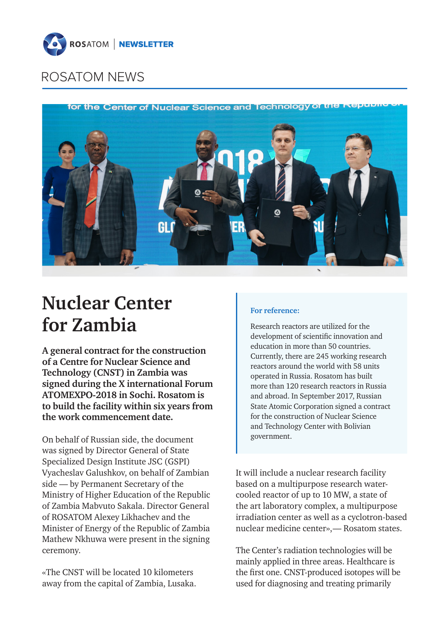

for the Center of Nuclear Science and Technology of



# **Nuclear Center for Zambia**

**А general contract for the construction of a Centre for Nuclear Science and Technology (CNST) in Zambia was signed during the Х international Forum ATOMEXPO‑2018 in Sochi. Rosatom is to build the facility within six years from the work commencement date.**

On behalf of Russian side, the document was signed by Director General of State Specialized Design Institute JSC (GSPI) Vyacheslav Galushkov, on behalf of Zambian side — by Permanent Secretary of the Ministry of Higher Education of the Republic of Zambia Mabvuto Sakala. Director General of ROSATOM Alexey Likhachev and the Minister of Energy of the Republic of Zambia Mathew Nkhuwa were present in the signing ceremony.

«The CNST will be located 10 kilometers away from the capital of Zambia, Lusaka.

### **For reference:**

Research reactors are utilized for the development of scientific innovation and education in more than 50 countries. Currently, there are 245 working research reactors around the world with 58 units operated in Russia. Rosatom has built more than 120 research reactors in Russia and abroad. In September 2017, Russian State Atomic Corporation signed a contract for the construction of Nuclear Science and Technology Center with Bolivian government.

It will include a nuclear research facility based on a multipurpose research watercooled reactor of up to 10 MW, a state of the art laboratory complex, a multipurpose irradiation center as well as a cyclotron-based nuclear medicine center»,— Rosatom states.

The Center's radiation technologies will be mainly applied in three areas. Healthcare is the first one. CNST-produced isotopes will be used for diagnosing and treating primarily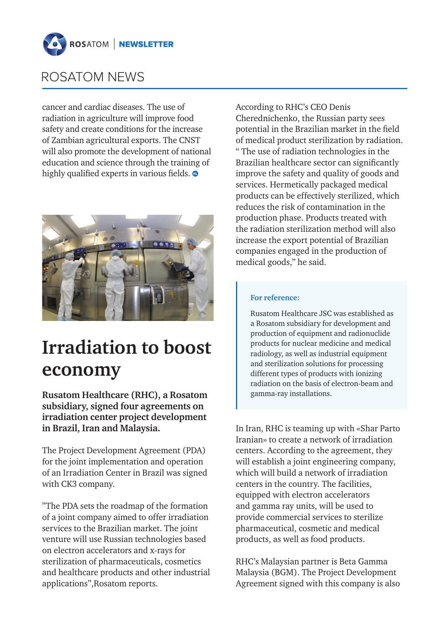

cancer and cardiac diseases. The use of radiation in agriculture will improve food safety and create conditions for the increase of Zambian agricultural exports. The CNST will also promote the development of national education and science through the training of highly qualified experts in various fields.  $\bullet$ 



# **Irradiation to boost economy**

**Rusatom Healthcare (RHC), a Rosatom subsidiary, signed four agreements on irradiation center project development in Brazil, Iran and Malaysia.** 

The Project Development Agreement (PDA) for the joint implementation and operation of an Irradiation Center in Brazil was signed with CK3 company.

"The PDA sets the roadmap of the formation of a joint company aimed to offer irradiation services to the Brazilian market. The joint venture will use Russian technologies based on electron accelerators and x-rays for sterilization of pharmaceuticals, cosmetics and healthcare products and other industrial applications",Rosatom reports.

According to RHC's CEO Denis Cherednichenko, the Russian party sees potential in the Brazilian market in the field of medical product sterilization by radiation. " The use of radiation technologies in the Brazilian healthcare sector can significantly improve the safety and quality of goods and services. Hermetically packaged medical products can be effectively sterilized, which reduces the risk of contamination in the production phase. Products treated with the radiation sterilization method will also increase the export potential of Brazilian companies engaged in the production of medical goods," he said.

#### **For reference:**

Rusatom Healthcare JSC was established as a Rosatom subsidiary for development and production of equipment and radionuclide products for nuclear medicine and medical radiology, as well as industrial equipment and sterilization solutions for processing different types of products with ionizing radiation on the basis of electron-beam and gamma-ray installations.

In Iran, RHC is teaming up with «Shar Parto Iranian» to create a network of irradiation centers. According to the agreement, they will establish a joint engineering company, which will build a network of irradiation centers in the country. The facilities, equipped with electron accelerators and gamma ray units, will be used to provide commercial services to sterilize pharmaceutical, cosmetic and medical products, as well as food products.

RHC's Malaysian partner is Beta Gamma Malaysia (BGM). The Project Development Agreement signed with this company is also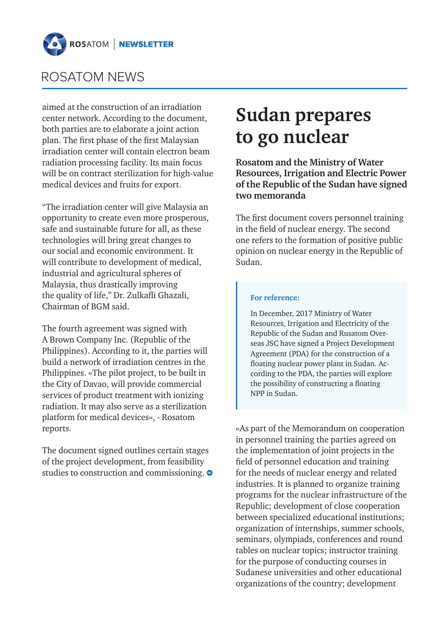

aimed at the construction of an irradiation center network. According to the document, both parties are to elaborate a joint action plan. The first phase of the first Malaysian irradiation center will contain electron beam radiation processing facility. Its main focus will be on contract sterilization for high-value medical devices and fruits for export.

"The irradiation center will give Malaysia an opportunity to create even more prosperous, safe and sustainable future for all, as these technologies will bring great changes to our social and economic environment. It will contribute to development of medical, industrial and agricultural spheres of Malaysia, thus drastically improving the quality of life," Dr. Zulkafli Ghazali, Chairman of BGM said.

The fourth agreement was signed with A Brown Company Inc. (Republic of the Philippines). According to it, the parties will build a network of irradiation centres in the Philippines. «The pilot project, to be built in the City of Davao, will provide commercial services of product treatment with ionizing radiation. It may also serve as a sterilization platform for medical devices», - Rosatom reports.

The document signed outlines certain stages of the project development, from feasibility studies to construction and commissioning.  $\bullet$ 

## **Sudan prepares to go nuclear**

**Rosatom and the Ministry of Water Resources, Irrigation and Electric Power of the Republic of the Sudan have signed two memoranda**

The first document covers personnel training in the field of nuclear energy. The second one refers to the formation of positive public opinion on nuclear energy in the Republic of Sudan.

#### **For reference:**

In December, 2017 Ministry of Water Resources, Irrigation and Electricity of the Republic of the Sudan and Rusatom Overseas JSC have signed a Project Development Agreement (PDA) for the construction of a floating nuclear power plant in Sudan. According to the PDA, the parties will explore the possibility of constructing a floating NPP in Sudan.

«As part of the Memorandum on cooperation in personnel training the parties agreed on the implementation of joint projects in the field of personnel education and training for the needs of nuclear energy and related industries. It is planned to organize training programs for the nuclear infrastructure of the Republic; development of close cooperation between specialized educational institutions; organization of internships, summer schools, seminars, olympiads, conferences and round tables on nuclear topics; instructor training for the purpose of conducting courses in Sudanese universities and other educational organizations of the country; development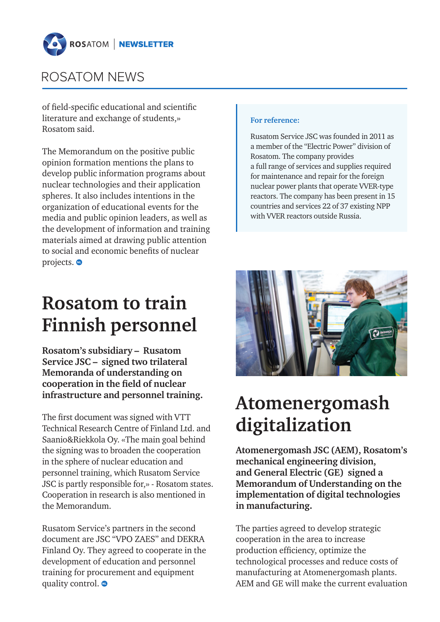

of field-specific educational and scientific literature and exchange of students,» Rosatom said.

The Memorandum on the positive public opinion formation mentions the plans to develop public information programs about nuclear technologies and their application spheres. It also includes intentions in the organization of educational events for the media and public opinion leaders, as well as the development of information and training materials aimed at drawing public attention to social and economic benefits of nuclear projects.  $\bullet$ 

## **Rosatom to train Finnish personnel**

**Rosatom's subsidiary – Rusatom Service JSC – signed two trilateral Memoranda of understanding on cooperation in the field of nuclear infrastructure and personnel training.**

The first document was signed with VTT Technical Research Centre of Finland Ltd. and Saanio&Riekkola Oy. «The main goal behind the signing was to broaden the cooperation in the sphere of nuclear education and personnel training, which Rusatom Service JSC is partly responsible for,» - Rosatom states. Cooperation in research is also mentioned in the Memorandum.

Rusatom Service's partners in the second document are JSC "VPO ZAES" and DEKRA Finland Oy. They agreed to cooperate in the development of education and personnel training for procurement and equipment quality control.  $\bullet$ 

#### **For reference:**

Rusatom Service JSC was founded in 2011 as a member of the "Electric Power" division of Rosatom. The company provides a full range of services and supplies required for maintenance and repair for the foreign nuclear power plants that operate VVER-type reactors. The company has been present in 15 countries and services 22 of 37 existing NPP with VVER reactors outside Russia.



# **Atomenergomash digitalization**

**Atomenergomash JSC (AEM), Rosatom's mechanical engineering division, and General Electric (GE) signed a Memorandum of Understanding on the implementation of digital technologies in manufacturing.**

The parties agreed to develop strategic cooperation in the area to increase production efficiency, optimize the technological processes and reduce costs of manufacturing at Atomenergomash plants. AEM and GE will make the current evaluation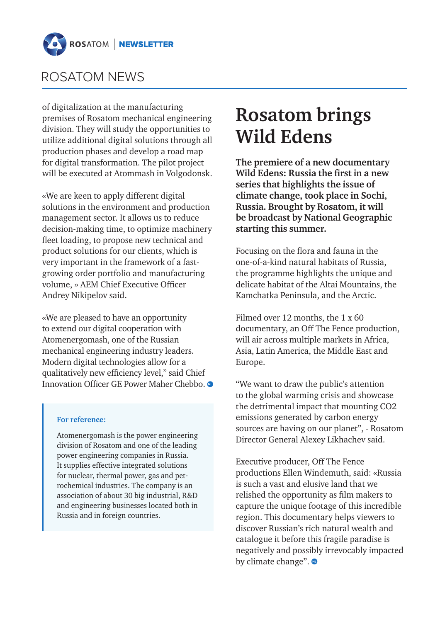

of digitalization at the manufacturing premises of Rosatom mechanical engineering division. They will study the opportunities to utilize additional digital solutions through all production phases and develop a road map for digital transformation. The pilot project will be executed at Atommash in Volgodonsk.

«We are keen to apply different digital solutions in the environment and production management sector. It allows us to reduce decision-making time, to optimize machinery fleet loading, to propose new technical and product solutions for our clients, which is very important in the framework of a fastgrowing order portfolio and manufacturing volume, » AEM Chief Executive Officer Andrey Nikipelov said.

«We are pleased to have an opportunity to extend our digital cooperation with Atomenergomash, one of the Russian mechanical engineering industry leaders. Modern digital technologies allow for a qualitatively new efficiency level," said Chief Innovation Officer GE Power Maher Chebbo.

#### **For reference:**

Atomenergomash is the power engineering division of Rosatom and one of the leading power engineering companies in Russia. It supplies effective integrated solutions for nuclear, thermal power, gas and petrochemical industries. The company is an association of about 30 big industrial, R&D and engineering businesses located both in Russia and in foreign countries.

## **Rosatom brings Wild Edens**

**The premiere of a new documentary Wild Edens: Russia the first in a new series that highlights the issue of climate change, took place in Sochi, Russia. Brought by Rosatom, it will be broadcast by National Geographic starting this summer.**

Focusing on the flora and fauna in the one-of-a-kind natural habitats of Russia, the programme highlights the unique and delicate habitat of the Altai Mountains, the Kamchatka Peninsula, and the Arctic.

Filmed over 12 months, the 1 x 60 documentary, an Off The Fence production, will air across multiple markets in Africa, Asia, Latin America, the Middle East and Europe.

"We want to draw the public's attention to the global warming crisis and showcase the detrimental impact that mounting CO2 emissions generated by carbon energy sources are having on our planet", - Rosatom Director General Alexey Likhachev said.

Executive producer, Off The Fence productions Ellen Windemuth, said: «Russia is such a vast and elusive land that we relished the opportunity as film makers to capture the unique footage of this incredible region. This documentary helps viewers to discover Russian's rich natural wealth and catalogue it before this fragile paradise is negatively and possibly irrevocably impacted by climate change".  $\bullet$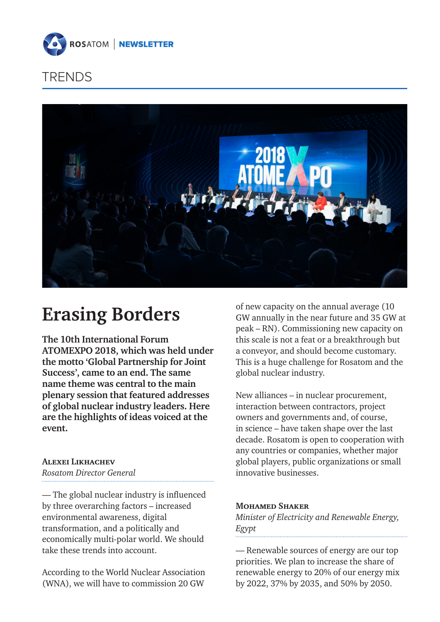

### TRENDS



## **Erasing Borders**

**The 10th International Forum ATOMEXPO 2018, which was held under the motto 'Global Partnership for Joint Success', came to an end. The same name theme was central to the main plenary session that featured addresses of global nuclear industry leaders. Here are the highlights of ideas voiced at the event.**

### **Alexei Likhachev**

*Rosatom Director General*

— The global nuclear industry is influenced by three overarching factors – increased environmental awareness, digital transformation, and a politically and economically multi-polar world. We should take these trends into account.

According to the World Nuclear Association (WNA), we will have to commission 20 GW

of new capacity on the annual average (10 GW annually in the near future and 35 GW at peak – RN). Commissioning new capacity on this scale is not a feat or a breakthrough but a conveyor, and should become customary. This is a huge challenge for Rosatom and the global nuclear industry.

New alliances – in nuclear procurement, interaction between contractors, project owners and governments and, of course, in science – have taken shape over the last decade. Rosatom is open to cooperation with any countries or companies, whether major global players, public organizations or small innovative businesses.

#### **Mohamed Shaker**

*Minister of Electricity and Renewable Energy, Egypt*

— Renewable sources of energy are our top priorities. We plan to increase the share of renewable energy to 20% of our energy mix by 2022, 37% by 2035, and 50% by 2050.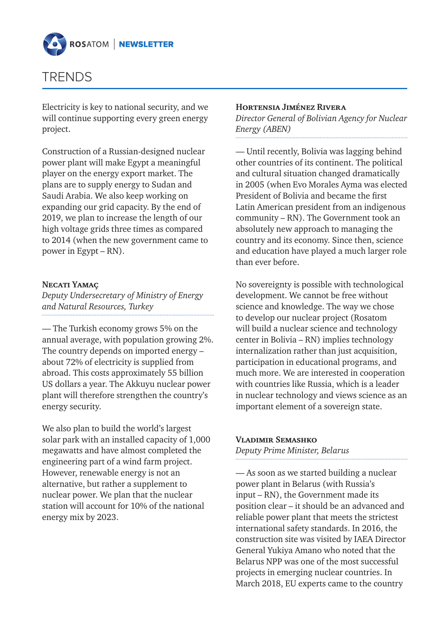

### TRENDS

Electricity is key to national security, and we will continue supporting every green energy project.

Construction of a Russian-designed nuclear power plant will make Egypt a meaningful player on the energy export market. The plans are to supply energy to Sudan and Saudi Arabia. We also keep working on expanding our grid capacity. By the end of 2019, we plan to increase the length of our high voltage grids three times as compared to 2014 (when the new government came to power in Egypt – RN).

### **Necati Yamaç**

*Deputy Undersecretary of Ministry of Energy and Natural Resources, Turkey*

— The Turkish economy grows 5% on the annual average, with population growing 2%. The country depends on imported energy – about 72% of electricity is supplied from abroad. This costs approximately 55 billion US dollars a year. The Akkuyu nuclear power plant will therefore strengthen the country's energy security.

We also plan to build the world's largest solar park with an installed capacity of 1,000 megawatts and have almost completed the engineering part of a wind farm project. However, renewable energy is not an alternative, but rather a supplement to nuclear power. We plan that the nuclear station will account for 10% of the national energy mix by 2023.

#### **Hortensia Jiménez Rivera**

*Director General of Bolivian Agency for Nuclear Energy (ABEN)* 

— Until recently, Bolivia was lagging behind other countries of its continent. The political and cultural situation changed dramatically in 2005 (when Evo Morales Ayma was elected President of Bolivia and became the first Latin American president from an indigenous community – RN). The Government took an absolutely new approach to managing the country and its economy. Since then, science and education have played a much larger role than ever before.

No sovereignty is possible with technological development. We cannot be free without science and knowledge. The way we chose to develop our nuclear project (Rosatom will build a nuclear science and technology center in Bolivia – RN) implies technology internalization rather than just acquisition, participation in educational programs, and much more. We are interested in cooperation with countries like Russia, which is a leader in nuclear technology and views science as an important element of a sovereign state.

### **Vladimir Semashko**

*Deputy Prime Minister, Belarus*

— As soon as we started building a nuclear power plant in Belarus (with Russia's input – RN), the Government made its position clear – it should be an advanced and reliable power plant that meets the strictest international safety standards. In 2016, the construction site was visited by IAEA Director General Yukiya Amano who noted that the Belarus NPP was one of the most successful projects in emerging nuclear countries. In March 2018, EU experts came to the country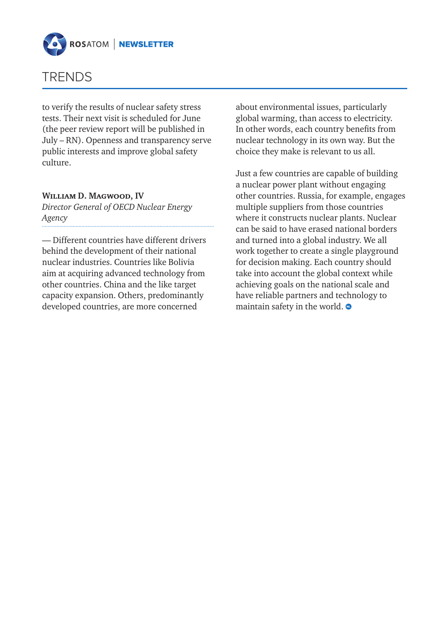



to verify the results of nuclear safety stress tests. Their next visit is scheduled for June (the peer review report will be published in July – RN). Openness and transparency serve public interests and improve global safety culture.

#### **William D. Magwood, IV**

*Director General of OECD Nuclear Energy Agency*

— Different countries have different drivers behind the development of their national nuclear industries. Countries like Bolivia aim at acquiring advanced technology from other countries. China and the like target capacity expansion. Others, predominantly developed countries, are more concerned

about environmental issues, particularly global warming, than access to electricity. In other words, each country benefits from nuclear technology in its own way. But the choice they make is relevant to us all.

Just a few countries are capable of building a nuclear power plant without engaging other countries. Russia, for example, engages multiple suppliers from those countries where it constructs nuclear plants. Nuclear can be said to have erased national borders and turned into a global industry. We all work together to create a single playground for decision making. Each country should take into account the global context while achieving goals on the national scale and have reliable partners and technology to maintain safety in the world.  $\bullet$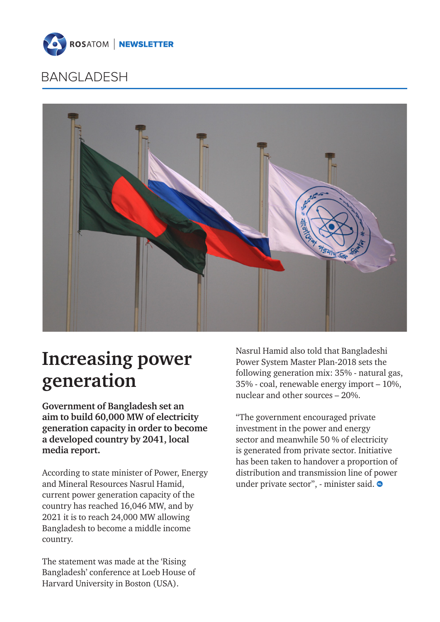

### BANGLADESH



# **Increasing power generation**

**Government of Bangladesh set an aim to build 60,000 MW of electricity generation capacity in order to become a developed country by 2041, local media report.**

According to state minister of Power, Energy and Mineral Resources Nasrul Hamid, current power generation capacity of the country has reached 16,046 MW, and by 2021 it is to reach 24,000 MW allowing Bangladesh to become a middle income country.

The statement was made at the 'Rising Bangladesh' conference at Loeb House of Harvard University in Boston (USA).

Nasrul Hamid also told that Bangladeshi Power System Master Plan-2018 sets the following generation mix: 35% - natural gas, 35% - coal, renewable energy import – 10%, nuclear and other sources – 20%.

"The government encouraged private investment in the power and energy sector and meanwhile 50 % of electricity is generated from private sector. Initiative has been taken to handover a proportion of distribution and transmission line of power under private sector", - minister said.  $\bullet$